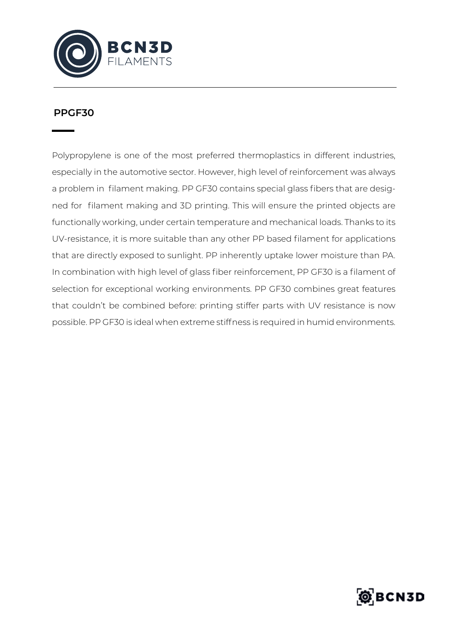

## **PPGF30**

Polypropylene is one of the most preferred thermoplastics in different industries, especially in the automotive sector. However, high level of reinforcement was always a problem in filament making. PP GF30 contains special glass fibers that are designed for filament making and 3D printing. This will ensure the printed objects are functionally working, under certain temperature and mechanical loads. Thanks to its UV-resistance, it is more suitable than any other PP based filament for applications that are directly exposed to sunlight. PP inherently uptake lower moisture than PA. In combination with high level of glass fiber reinforcement, PP GF30 is a filament of selection for exceptional working environments. PP GF30 combines great features that couldn't be combined before: printing stiffer parts with UV resistance is now possible. PP GF30 is ideal when extreme stiffness is required in humid environments.